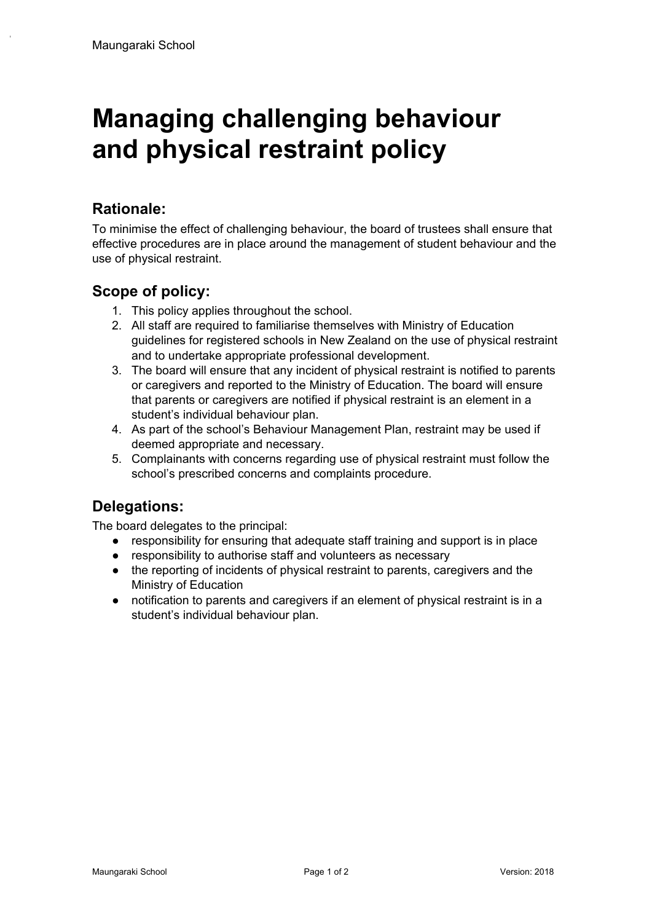# **Managing challenging behaviour and physical restraint policy**

# **Rationale:**

To minimise the effect of challenging behaviour, the board of trustees shall ensure that effective procedures are in place around the management of student behaviour and the use of physical restraint.

# **Scope of policy:**

- 1. This policy applies throughout the school.
- 2. All staff are required to familiarise themselves with Ministry of Education guidelines for registered schools in New Zealand on the use of physical restraint and to undertake appropriate professional development.
- 3. The board will ensure that any incident of physical restraint is notified to parents or caregivers and reported to the Ministry of Education. The board will ensure that parents or caregivers are notified if physical restraint is an element in a student's individual behaviour plan.
- 4. As part of the school's Behaviour Management Plan, restraint may be used if deemed appropriate and necessary.
- 5. Complainants with concerns regarding use of physical restraint must follow the school's prescribed concerns and complaints procedure.

## **Delegations:**

The board delegates to the principal:

- responsibility for ensuring that adequate staff training and support is in place
- responsibility to authorise staff and volunteers as necessary
- the reporting of incidents of physical restraint to parents, caregivers and the Ministry of Education
- notification to parents and caregivers if an element of physical restraint is in a student's individual behaviour plan.